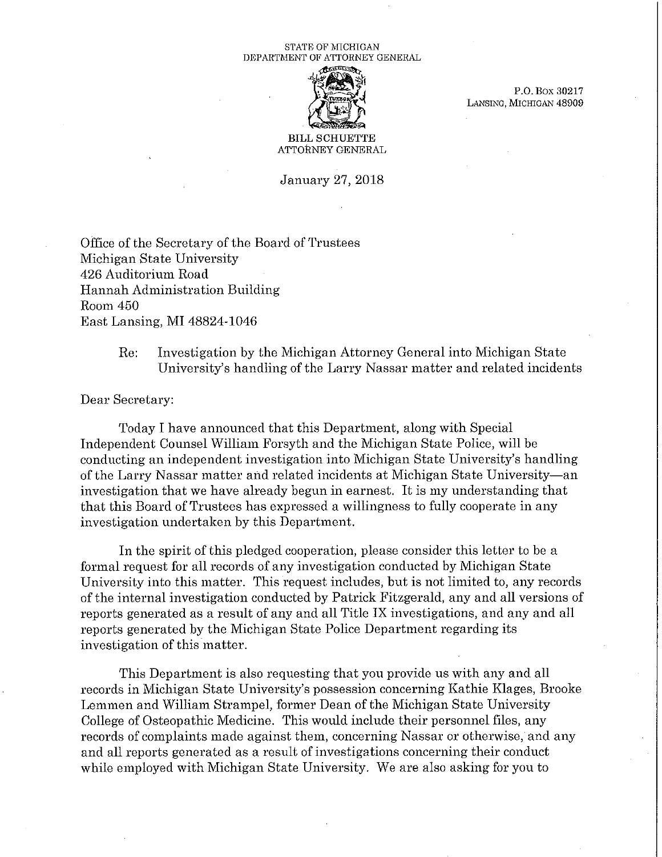## STATE OF MICHIGAN DEPARTMENT OF ATTORNEY GENERAL



P.O. Box 30217 LANSING, MICHIGAN 48909

## BILL SCHUETTE ATTORNEY GENERAL

January 27, 2018

Office of the Secretary of the Board of Trustees Michigan State University 426 Auditorium Road Hannah Administration Building Room 450 East Lansing, MI 48824-1046

> Re: Investigation by the Michigan Attorney General into Michigan State University's handling of the Larry Nassar matter and related incidents

Dear Secretary:

Today I have announced that this Department, along with Special Independent Counsel William Forsyth and the Michigan State Police, will be conducting an independent investigation into Michigan State University's handling of the Larry Nassar matter and related incidents at Michigan State University-an investigation that we have already begun in earnest. It is my understanding that that this Board of Trustees has expressed a willingness to fully cooperate in any investigation undertaken by this Department.

In the spirit of this pledged cooperation, please consider this letter to be a formal request for all records of any investigation conducted by Michigan State University into this matter. This request includes, but is not limited to, any records of the internal investigation conducted by Patrick Fitzgerald, any and all versions of reports generated as a result of any and all Title IX investigations, and any and all reports generated by the Michigan State Police Department regarding its investigation of this matter.

This Department is also requesting that you provide us with any and all records in Michigan State University's possession concerning Kathie Klages, Brooke Lemmen and William Strampel, former Dean of the Michigan State University College of Osteopathic Medicine. This would include their personnel files, any records of complaints made against them, concerning Nassar or otherwise, and any and all reports generated as a result of investigations concerning their conduct while employed with Michigan State University. We are also asking for you to